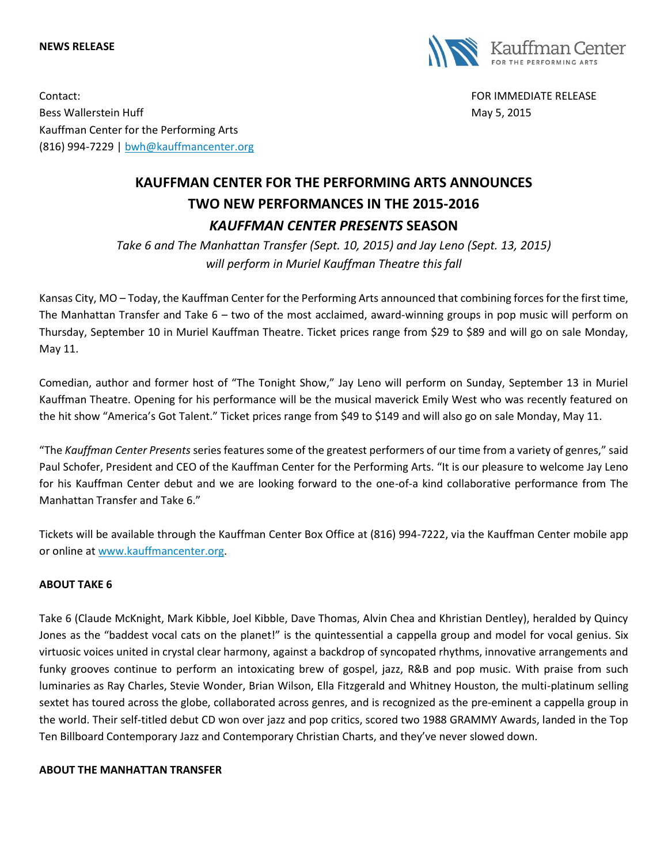#### **NEWS RELEASE**



Contact: FOR IMMEDIATE RELEASE Bess Wallerstein Huff **May 5, 2015** Nay 5, 2015 Kauffman Center for the Performing Arts (816) 994-7229 | [bwh@kauffmancenter.org](mailto:bwh@kauffmancenter.org)

# **KAUFFMAN CENTER FOR THE PERFORMING ARTS ANNOUNCES TWO NEW PERFORMANCES IN THE 2015-2016** *KAUFFMAN CENTER PRESENTS* **SEASON**

*Take 6 and The Manhattan Transfer (Sept. 10, 2015) and Jay Leno (Sept. 13, 2015) will perform in Muriel Kauffman Theatre this fall*

Kansas City, MO – Today, the Kauffman Center for the Performing Arts announced that combining forces for the first time, The Manhattan Transfer and Take 6 – two of the most acclaimed, award-winning groups in pop music will perform on Thursday, September 10 in Muriel Kauffman Theatre. Ticket prices range from \$29 to \$89 and will go on sale Monday, May 11.

Comedian, author and former host of "The Tonight Show," Jay Leno will perform on Sunday, September 13 in Muriel Kauffman Theatre. Opening for his performance will be the musical maverick Emily West who was recently featured on the hit show "America's Got Talent." Ticket prices range from \$49 to \$149 and will also go on sale Monday, May 11.

"The *Kauffman Center Presents* series features some of the greatest performers of our time from a variety of genres," said Paul Schofer, President and CEO of the Kauffman Center for the Performing Arts. "It is our pleasure to welcome Jay Leno for his Kauffman Center debut and we are looking forward to the one-of-a kind collaborative performance from The Manhattan Transfer and Take 6."

Tickets will be available through the Kauffman Center Box Office at (816) 994-7222, via the Kauffman Center mobile app or online at [www.kauffmancenter.org.](http://www.kauffmancenter.org/)

# **ABOUT TAKE 6**

Take 6 (Claude McKnight, Mark Kibble, Joel Kibble, Dave Thomas, Alvin Chea and Khristian Dentley), heralded by Quincy Jones as the "baddest vocal cats on the planet!" is the quintessential a cappella group and model for vocal genius. Six virtuosic voices united in crystal clear harmony, against a backdrop of syncopated rhythms, innovative arrangements and funky grooves continue to perform an intoxicating brew of gospel, jazz, R&B and pop music. With praise from such luminaries as Ray Charles, Stevie Wonder, Brian Wilson, Ella Fitzgerald and Whitney Houston, the multi-platinum selling sextet has toured across the globe, collaborated across genres, and is recognized as the pre-eminent a cappella group in the world. Their self-titled debut CD won over jazz and pop critics, scored two 1988 GRAMMY Awards, landed in the Top Ten Billboard Contemporary Jazz and Contemporary Christian Charts, and they've never slowed down.

#### **ABOUT THE MANHATTAN TRANSFER**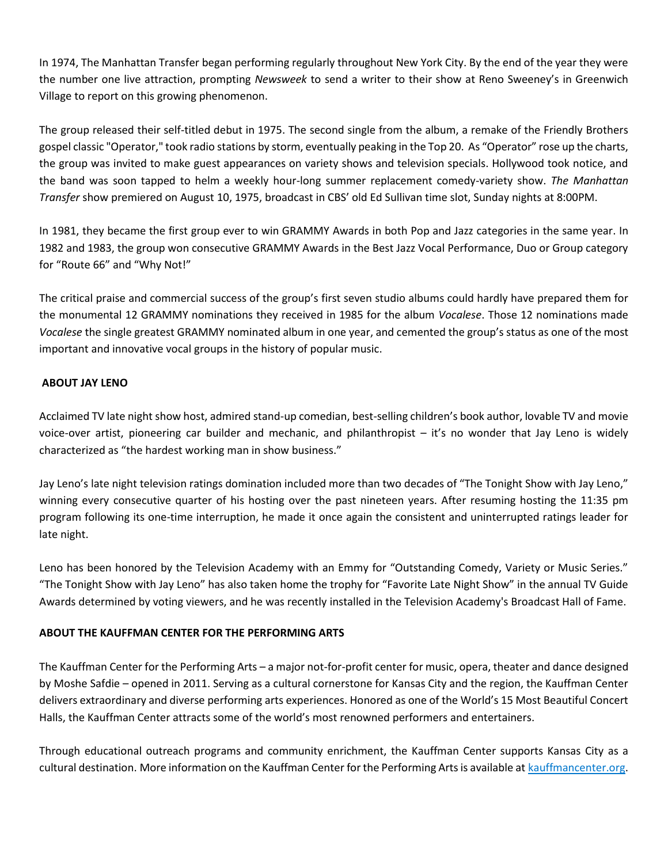In 1974, The Manhattan Transfer began performing regularly throughout New York City. By the end of the year they were the number one live attraction, prompting *Newsweek* to send a writer to their show at Reno Sweeney's in Greenwich Village to report on this growing phenomenon.

The group released their self-titled debut in 1975. The second single from the album, a remake of the Friendly Brothers gospel classic "Operator," took radio stations by storm, eventually peaking in the Top 20. As "Operator" rose up the charts, the group was invited to make guest appearances on variety shows and television specials. Hollywood took notice, and the band was soon tapped to helm a weekly hour-long summer replacement comedy-variety show. *The Manhattan Transfer* show premiered on August 10, 1975, broadcast in CBS' old Ed Sullivan time slot, Sunday nights at 8:00PM.

In 1981, they became the first group ever to win GRAMMY Awards in both Pop and Jazz categories in the same year. In 1982 and 1983, the group won consecutive GRAMMY Awards in the Best Jazz Vocal Performance, Duo or Group category for "Route 66" and "Why Not!"

The critical praise and commercial success of the group's first seven studio albums could hardly have prepared them for the monumental 12 GRAMMY nominations they received in 1985 for the album *Vocalese*. Those 12 nominations made *Vocalese* the single greatest GRAMMY nominated album in one year, and cemented the group's status as one of the most important and innovative vocal groups in the history of popular music.

### **ABOUT JAY LENO**

Acclaimed TV late night show host, admired stand-up comedian, best-selling children's book author, lovable TV and movie voice-over artist, pioneering car builder and mechanic, and philanthropist – it's no wonder that Jay Leno is widely characterized as "the hardest working man in show business."

Jay Leno's late night television ratings domination included more than two decades of "The Tonight Show with Jay Leno," winning every consecutive quarter of his hosting over the past nineteen years. After resuming hosting the 11:35 pm program following its one-time interruption, he made it once again the consistent and uninterrupted ratings leader for late night.

Leno has been honored by the Television Academy with an Emmy for "Outstanding Comedy, Variety or Music Series." "The Tonight Show with Jay Leno" has also taken home the trophy for "Favorite Late Night Show" in the annual TV Guide Awards determined by voting viewers, and he was recently installed in the Television Academy's Broadcast Hall of Fame.

# **ABOUT THE KAUFFMAN CENTER FOR THE PERFORMING ARTS**

The Kauffman Center for the Performing Arts – a major not-for-profit center for music, opera, theater and dance designed by Moshe Safdie – opened in 2011. Serving as a cultural cornerstone for Kansas City and the region, the Kauffman Center delivers extraordinary and diverse performing arts experiences. Honored as one of the World's 15 Most Beautiful Concert Halls, the Kauffman Center attracts some of the world's most renowned performers and entertainers.

Through educational outreach programs and community enrichment, the Kauffman Center supports Kansas City as a cultural destination. More information on the Kauffman Center for the Performing Arts is available at [kauffmancenter.org.](http://tracking.wordfly.com/click?sid=MTc4XzQ3MjBfOTc3NjZfNjc5Mg&l=580a40e4-b522-e611-bb2d-e41f1345a46a&utm_source=wordfly&utm_medium=email&utm_campaign=Release%3AKoz%26Sanborn%2CKansas&utm_content=version_A&sourceNumber=&utm_source=wordfly&utm_medium=email&utm_campaign=Release%3ALampedusa%2CWinston%2CMarsalis&utm_content=version_A&sourceNumber=)